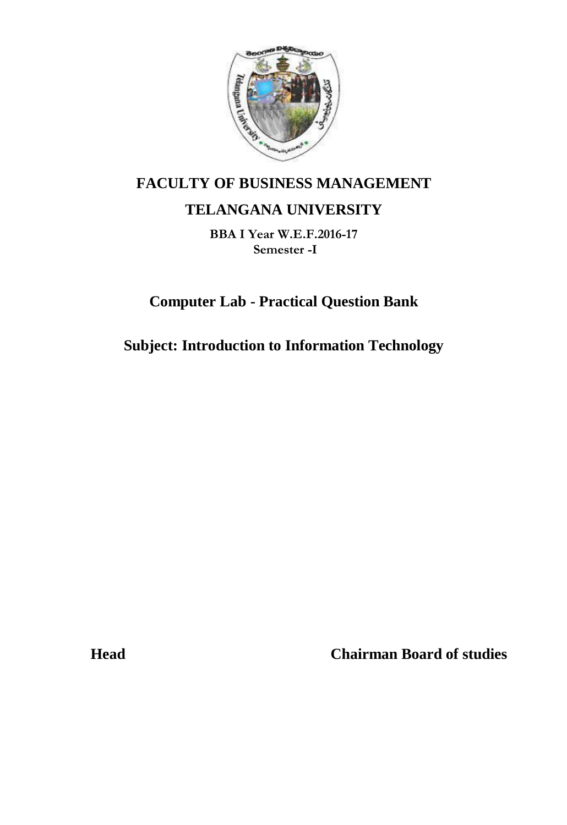

# **FACULTY OF BUSINESS MANAGEMENT**

# **TELANGANA UNIVERSITY**

**BBA I Year W.E.F.2016-17 Semester -I**

**Computer Lab - Practical Question Bank**

**Subject: Introduction to Information Technology**

**Head Chairman Board of studies**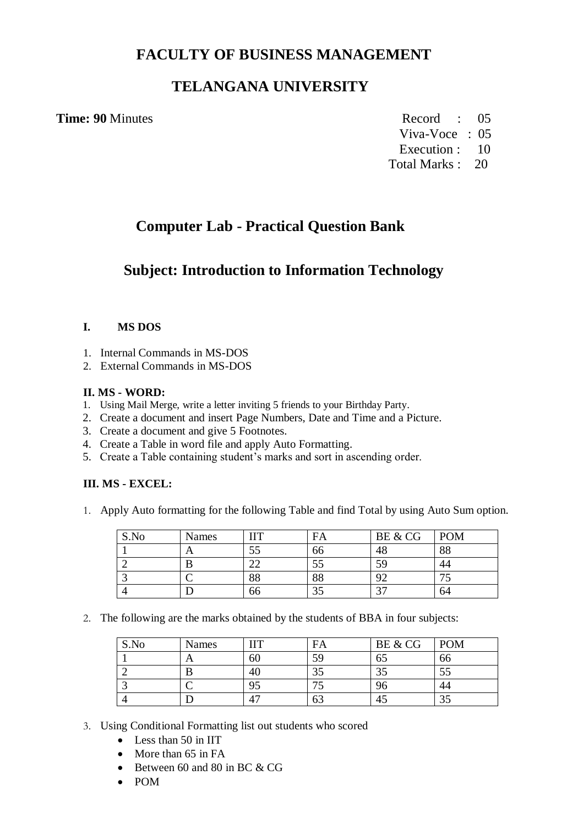### **FACULTY OF BUSINESS MANAGEMENT**

## **TELANGANA UNIVERSITY**

#### **Time: 90** Minutes Record : 05

Viva-Voce : 05

Execution : 10 Total Marks : 20

# **Computer Lab - Practical Question Bank**

## **Subject: Introduction to Information Technology**

#### **I. MS DOS**

- 1. Internal Commands in MS-DOS
- 2. External Commands in MS-DOS

#### **II. MS - WORD:**

- 1. Using Mail Merge, write a letter inviting 5 friends to your Birthday Party.
- 2. Create a document and insert Page Numbers, Date and Time and a Picture.
- 3. Create a document and give 5 Footnotes.
- 4. Create a Table in word file and apply Auto Formatting.
- 5. Create a Table containing student's marks and sort in ascending order.

#### **III. MS - EXCEL:**

1. Apply Auto formatting for the following Table and find Total by using Auto Sum option.

| S.No | <b>Names</b> | TT            | FA | BE & CG  | <b>POM</b> |
|------|--------------|---------------|----|----------|------------|
|      | Ā            |               | bb | 48       | 88         |
|      |              | $\sim$        | IJ | 59       | 44         |
|      |              | $\circ$<br>oο | 88 | $\Omega$ |            |
|      |              | bc            |    | $\sim$   | 64         |

2. The following are the marks obtained by the students of BBA in four subjects:

| S.No | <b>Names</b> | TT | FA | BE & CG | <b>POM</b> |
|------|--------------|----|----|---------|------------|
|      | n            | 60 | 59 | CO      | 66         |
|      |              |    |    | ر ر     | IJ         |
|      |              | Ω5 |    | 96      | 44         |
|      |              |    |    |         | ر. ر       |

- 3. Using Conditional Formatting list out students who scored
	- Less than 50 in IIT
	- More than 65 in FA
	- $\bullet$  Between 60 and 80 in BC & CG
	- POM